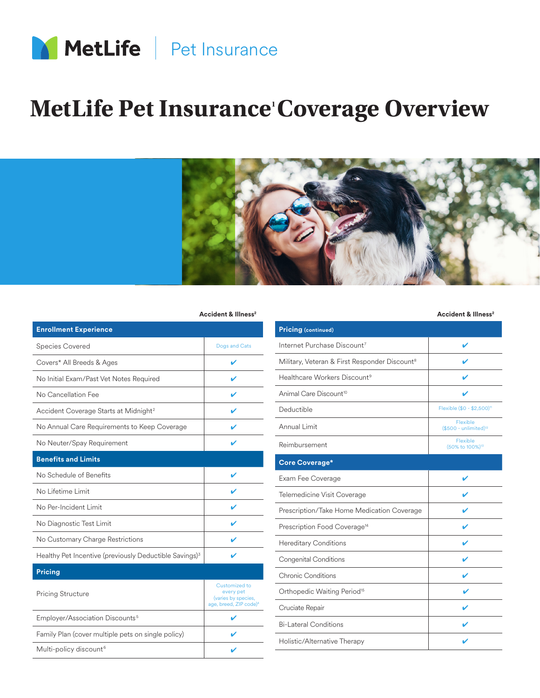

## **MetLife Pet Insurance' Coverage Overview**



## Accident & Illness<sup>2</sup>

| <b>Enrollment Experience</b>                                       |                                                                                         |
|--------------------------------------------------------------------|-----------------------------------------------------------------------------------------|
| <b>Species Covered</b>                                             | Dogs and Cats                                                                           |
| Covers* All Breeds & Ages                                          | ✔                                                                                       |
| No Initial Exam/Past Vet Notes Required                            | ✔                                                                                       |
| No Cancellation Fee                                                |                                                                                         |
| Accident Coverage Starts at Midnight <sup>2</sup>                  |                                                                                         |
| No Annual Care Requirements to Keep Coverage                       |                                                                                         |
| No Neuter/Spay Requirement                                         | ✔                                                                                       |
| <b>Benefits and Limits</b>                                         |                                                                                         |
| No Schedule of Benefits                                            |                                                                                         |
| No Lifetime Limit                                                  |                                                                                         |
| No Per-Incident Limit                                              |                                                                                         |
| No Diagnostic Test Limit                                           |                                                                                         |
| No Customary Charge Restrictions                                   |                                                                                         |
| Healthy Pet Incentive (previously Deductible Savings) <sup>3</sup> |                                                                                         |
| <b>Pricing</b>                                                     |                                                                                         |
| <b>Pricing Structure</b>                                           | Customized to<br>every pet<br>(varies by species,<br>age, breed, ZIP code) <sup>4</sup> |
| Employer/Association Discounts <sup>5</sup>                        |                                                                                         |
| Family Plan (cover multiple pets on single policy)                 |                                                                                         |
| Multi-policy discount <sup>6</sup>                                 |                                                                                         |

**Accident & Illness2 Accident & Illness2**

| <b>Pricing (continued)</b>                                |                                         |
|-----------------------------------------------------------|-----------------------------------------|
| Internet Purchase Discount <sup>7</sup>                   | V                                       |
| Military, Veteran & First Responder Discount <sup>8</sup> |                                         |
| Healthcare Workers Discount <sup>9</sup>                  | ✔                                       |
| Animal Care Discount <sup>10</sup>                        |                                         |
| Deductible                                                | Flexible (\$0 - \$2,500) <sup>11</sup>  |
| Annual Limit                                              | Flexible<br>$($500 - unlimited)12$      |
| Reimbursement                                             | Flexible<br>(50% to 100%) <sup>13</sup> |
| <b>Core Coverage*</b>                                     |                                         |
| Exam Fee Coverage                                         |                                         |
| Telemedicine Visit Coverage                               |                                         |
| Prescription/Take Home Medication Coverage                |                                         |
| Prescription Food Coverage <sup>14</sup>                  | V                                       |
| <b>Hereditary Conditions</b>                              | ✔                                       |
| <b>Congenital Conditions</b>                              | ✔                                       |
| Chronic Conditions                                        | v                                       |
| Orthopedic Waiting Period <sup>15</sup>                   | ✔                                       |
| Cruciate Repair                                           |                                         |
| <b>Bi-Lateral Conditions</b>                              |                                         |
| Holistic/Alternative Therapy                              |                                         |